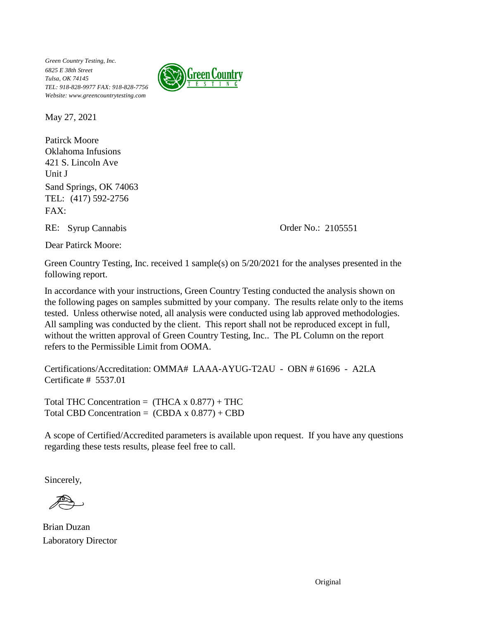

May 27, 2021

Oklahoma Infusions Patirck Moore FAX: TEL: (417) 592-2756 421 S. Lincoln Ave Unit J Sand Springs, OK 74063

RE: Syrup Cannabis Order No.: 2105551

Dear Patirck Moore:

Green Country Testing, Inc. received 1 sample(s) on 5/20/2021 for the analyses presented in the following report.

In accordance with your instructions, Green Country Testing conducted the analysis shown on the following pages on samples submitted by your company. The results relate only to the items tested. Unless otherwise noted, all analysis were conducted using lab approved methodologies. All sampling was conducted by the client. This report shall not be reproduced except in full, without the written approval of Green Country Testing, Inc.. The PL Column on the report refers to the Permissible Limit from OOMA.

Certifications/Accreditation: OMMA# LAAA-AYUG-T2AU - OBN # 61696 - A2LA Certificate # 5537.01

Total THC Concentration =  $(THCA \times 0.877) + THC$ Total CBD Concentration =  $(CBDA \times 0.877) + CBD$ 

A scope of Certified/Accredited parameters is available upon request. If you have any questions regarding these tests results, please feel free to call.

Sincerely,

Brian Duzan Laboratory Director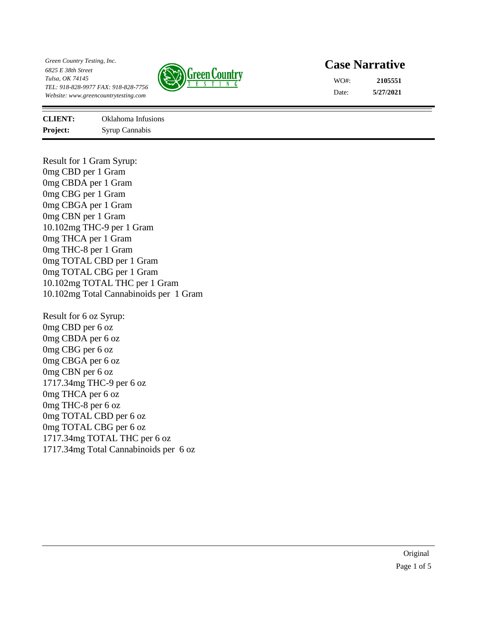

## **Case Narrative**

**5/27/2021 2105551** Date: WO#:

**Project:** Syrup Cannabis **CLIENT:** Oklahoma Infusions

Result for 1 Gram Syrup: 0mg CBD per 1 Gram 0mg CBDA per 1 Gram 0mg CBG per 1 Gram 0mg CBGA per 1 Gram 0mg CBN per 1 Gram 10.102mg THC-9 per 1 Gram 0mg THCA per 1 Gram 0mg THC-8 per 1 Gram 0mg TOTAL CBD per 1 Gram 0mg TOTAL CBG per 1 Gram 10.102mg TOTAL THC per 1 Gram 10.102mg Total Cannabinoids per 1 Gram

Result for 6 oz Syrup: 0mg CBD per 6 oz 0mg CBDA per 6 oz 0mg CBG per 6 oz 0mg CBGA per 6 oz 0mg CBN per 6 oz 1717.34mg THC-9 per 6 oz 0mg THCA per 6 oz 0mg THC-8 per 6 oz 0mg TOTAL CBD per 6 oz 0mg TOTAL CBG per 6 oz 1717.34mg TOTAL THC per 6 oz 1717.34mg Total Cannabinoids per 6 oz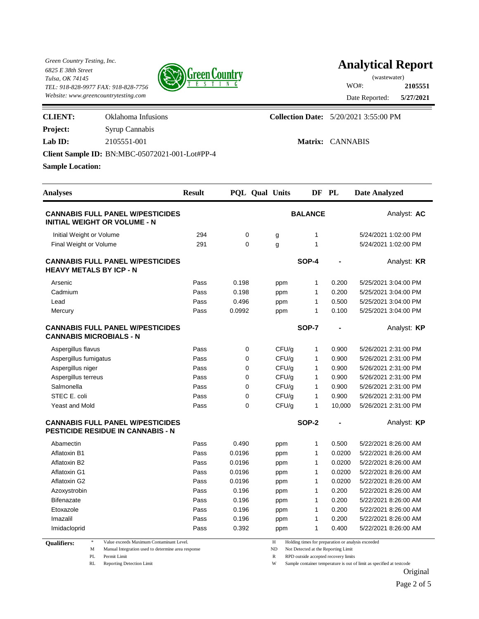

# **Analytical Report**

**5/27/2021 2105551** Date Reported: WO#: (wastewater)

| <b>CLIENT:</b>          | Oklahoma Infusions                             | <b>Collection Date:</b> 5/20/2021 3:55:00 PM |
|-------------------------|------------------------------------------------|----------------------------------------------|
| <b>Project:</b>         | Syrup Cannabis                                 |                                              |
| Lab $ID:$               | 2105551-001                                    | Matrix: CANNABIS                             |
|                         | Client Sample ID: BN:MBC-05072021-001-Lot#PP-4 |                                              |
| <b>Sample Location:</b> |                                                |                                              |

| <b>Analyses</b>                                                                     | <b>Result</b> | PQL Qual Units |       | DF PL          |        | Date Analyzed        |
|-------------------------------------------------------------------------------------|---------------|----------------|-------|----------------|--------|----------------------|
| <b>CANNABIS FULL PANEL W/PESTICIDES</b><br><b>INITIAL WEIGHT OR VOLUME - N</b>      |               |                |       | <b>BALANCE</b> |        | Analyst: AC          |
| Initial Weight or Volume                                                            | 294           | 0              | g     | $\mathbf{1}$   |        | 5/24/2021 1:02:00 PM |
| Final Weight or Volume                                                              | 291           | $\Omega$       | g     | 1              |        | 5/24/2021 1:02:00 PM |
| <b>CANNABIS FULL PANEL W/PESTICIDES</b><br><b>HEAVY METALS BY ICP - N</b>           |               |                |       | <b>SOP-4</b>   |        | Analyst: <b>KR</b>   |
| Arsenic                                                                             | Pass          | 0.198          | ppm   | 1              | 0.200  | 5/25/2021 3:04:00 PM |
| Cadmium                                                                             | Pass          | 0.198          | ppm   | 1              | 0.200  | 5/25/2021 3:04:00 PM |
| Lead                                                                                | Pass          | 0.496          | ppm   | $\mathbf{1}$   | 0.500  | 5/25/2021 3:04:00 PM |
| Mercury                                                                             | Pass          | 0.0992         | ppm   | 1              | 0.100  | 5/25/2021 3:04:00 PM |
| <b>CANNABIS FULL PANEL W/PESTICIDES</b><br><b>CANNABIS MICROBIALS - N</b>           |               |                |       | <b>SOP-7</b>   |        | Analyst: KP          |
| Aspergillus flavus                                                                  | Pass          | 0              | CFU/g | 1              | 0.900  | 5/26/2021 2:31:00 PM |
| Aspergillus fumigatus                                                               | Pass          | $\mathbf 0$    | CFU/g | 1              | 0.900  | 5/26/2021 2:31:00 PM |
| Aspergillus niger                                                                   | Pass          | $\mathbf 0$    | CFU/g | 1              | 0.900  | 5/26/2021 2:31:00 PM |
| Aspergillus terreus                                                                 | Pass          | $\mathbf 0$    | CFU/q | $\mathbf{1}$   | 0.900  | 5/26/2021 2:31:00 PM |
| Salmonella                                                                          | Pass          | $\Omega$       | CFU/q | $\mathbf{1}$   | 0.900  | 5/26/2021 2:31:00 PM |
| STEC E. coli                                                                        | Pass          | 0              | CFU/g | 1              | 0.900  | 5/26/2021 2:31:00 PM |
| <b>Yeast and Mold</b>                                                               | Pass          | $\mathbf 0$    | CFU/g | 1              | 10,000 | 5/26/2021 2:31:00 PM |
| <b>CANNABIS FULL PANEL W/PESTICIDES</b><br><b>PESTICIDE RESIDUE IN CANNABIS - N</b> |               |                |       | <b>SOP-2</b>   |        | Analyst: <b>KP</b>   |
| Abamectin                                                                           | Pass          | 0.490          | ppm   | 1              | 0.500  | 5/22/2021 8:26:00 AM |
| Aflatoxin B1                                                                        | Pass          | 0.0196         | ppm   | 1              | 0.0200 | 5/22/2021 8:26:00 AM |
| Aflatoxin B2                                                                        | Pass          | 0.0196         | ppm   | 1              | 0.0200 | 5/22/2021 8:26:00 AM |
| Aflatoxin G1                                                                        | Pass          | 0.0196         | ppm   | 1              | 0.0200 | 5/22/2021 8:26:00 AM |
| Aflatoxin G2                                                                        | Pass          | 0.0196         | ppm   | 1              | 0.0200 | 5/22/2021 8:26:00 AM |
| Azoxystrobin                                                                        | Pass          | 0.196          | ppm   | 1              | 0.200  | 5/22/2021 8:26:00 AM |
| <b>Bifenazate</b>                                                                   | Pass          | 0.196          | ppm   | 1              | 0.200  | 5/22/2021 8:26:00 AM |
| Etoxazole                                                                           | Pass          | 0.196          | ppm   | 1              | 0.200  | 5/22/2021 8:26:00 AM |
| Imazalil                                                                            | Pass          | 0.196          | ppm   | 1              | 0.200  | 5/22/2021 8:26:00 AM |
| Imidacloprid                                                                        | Pass          | 0.392          | ppm   | 1              | 0.400  | 5/22/2021 8:26:00 AM |

**Qualifiers:** 

M Manual Integration used to determine area response ND Not Detected at the Reporting Limit

\* Value exceeds Maximum Contaminant Level. H Holding times for preparation or analysis exceeded

PL Permit Limit  $R$  RPD outside accepted recovery limits

RL Reporting Detection Limit W Sample container temperature is out of limit as specified at testcode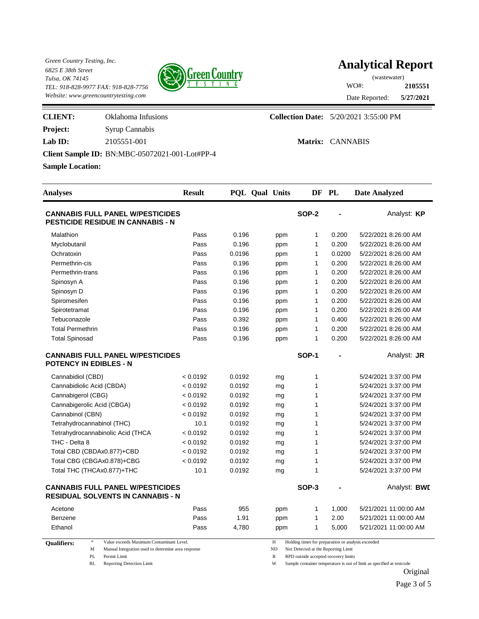

# **Analytical Report**

**5/27/2021 2105551** Date Reported: WO#: (wastewater)

| <b>CLIENT:</b>          | Oklahoma Infusions                                    | <b>Collection Date:</b> 5/20/2021 3:55:00 PM |
|-------------------------|-------------------------------------------------------|----------------------------------------------|
| <b>Project:</b>         | <b>Syrup Cannabis</b>                                 |                                              |
| Lab $ID:$               | 2105551-001                                           | Matrix: CANNABIS                             |
|                         | <b>Client Sample ID: BN:MBC-05072021-001-Lot#PP-4</b> |                                              |
| <b>Sample Location:</b> |                                                       |                                              |

| <b>Analyses</b>                                                                     | <b>Result</b> | PQL Qual Units |     | DF                                                 | PL             | <b>Date Analyzed</b>  |
|-------------------------------------------------------------------------------------|---------------|----------------|-----|----------------------------------------------------|----------------|-----------------------|
| <b>CANNABIS FULL PANEL W/PESTICIDES</b><br><b>PESTICIDE RESIDUE IN CANNABIS - N</b> |               |                |     | <b>SOP-2</b>                                       |                | Analyst: KP           |
| Malathion                                                                           | Pass          | 0.196          | ppm | 1                                                  | 0.200          | 5/22/2021 8:26:00 AM  |
| Myclobutanil                                                                        | Pass          | 0.196          | ppm | 1                                                  | 0.200          | 5/22/2021 8:26:00 AM  |
| Ochratoxin                                                                          | Pass          | 0.0196         | ppm | 1                                                  | 0.0200         | 5/22/2021 8:26:00 AM  |
| Permethrin-cis                                                                      | Pass          | 0.196          | ppm | 1                                                  | 0.200          | 5/22/2021 8:26:00 AM  |
| Permethrin-trans                                                                    | Pass          | 0.196          | ppm | 1                                                  | 0.200          | 5/22/2021 8:26:00 AM  |
| Spinosyn A                                                                          | Pass          | 0.196          | ppm | 1                                                  | 0.200          | 5/22/2021 8:26:00 AM  |
| Spinosyn D                                                                          | Pass          | 0.196          | ppm | 1                                                  | 0.200          | 5/22/2021 8:26:00 AM  |
| Spiromesifen                                                                        | Pass          | 0.196          | ppm | 1                                                  | 0.200          | 5/22/2021 8:26:00 AM  |
| Spirotetramat                                                                       | Pass          | 0.196          | ppm | 1                                                  | 0.200          | 5/22/2021 8:26:00 AM  |
| Tebuconazole                                                                        | Pass          | 0.392          | ppm | 1                                                  | 0.400          | 5/22/2021 8:26:00 AM  |
| <b>Total Permethrin</b>                                                             | Pass          | 0.196          | ppm | $\mathbf{1}$                                       | 0.200          | 5/22/2021 8:26:00 AM  |
| <b>Total Spinosad</b>                                                               | Pass          | 0.196          | ppm | 1                                                  | 0.200          | 5/22/2021 8:26:00 AM  |
| <b>CANNABIS FULL PANEL W/PESTICIDES</b><br><b>POTENCY IN EDIBLES - N</b>            |               |                |     | SOP-1                                              |                | Analyst: JR           |
| Cannabidiol (CBD)                                                                   | < 0.0192      | 0.0192         | mg  | 1                                                  |                | 5/24/2021 3:37:00 PM  |
| Cannabidiolic Acid (CBDA)                                                           | < 0.0192      | 0.0192         | mg  | $\mathbf{1}$                                       |                | 5/24/2021 3:37:00 PM  |
| Cannabigerol (CBG)                                                                  | < 0.0192      | 0.0192         | mg  | 1                                                  |                | 5/24/2021 3:37:00 PM  |
| Cannabigerolic Acid (CBGA)                                                          | < 0.0192      | 0.0192         | mg  | 1                                                  |                | 5/24/2021 3:37:00 PM  |
| Cannabinol (CBN)                                                                    | < 0.0192      | 0.0192         | mg  | 1                                                  |                | 5/24/2021 3:37:00 PM  |
| Tetrahydrocannabinol (THC)                                                          | 10.1          | 0.0192         | mg  | 1                                                  |                | 5/24/2021 3:37:00 PM  |
| Tetrahydrocannabinolic Acid (THCA)                                                  | < 0.0192      | 0.0192         | mg  | 1                                                  |                | 5/24/2021 3:37:00 PM  |
| THC - Delta 8                                                                       | < 0.0192      | 0.0192         | mg  | 1                                                  |                | 5/24/2021 3:37:00 PM  |
| Total CBD (CBDAx0.877)+CBD                                                          | < 0.0192      | 0.0192         | mg  | 1                                                  |                | 5/24/2021 3:37:00 PM  |
| Total CBG (CBGAx0.878)+CBG                                                          | < 0.0192      | 0.0192         | mg  | 1                                                  |                | 5/24/2021 3:37:00 PM  |
| Total THC (THCAx0.877)+THC                                                          | 10.1          | 0.0192         | mg  | 1                                                  |                | 5/24/2021 3:37:00 PM  |
| <b>CANNABIS FULL PANEL W/PESTICIDES</b><br><b>RESIDUAL SOLVENTS IN CANNABIS - N</b> |               |                |     | SOP-3                                              | $\blacksquare$ | Analyst: <b>BWI</b>   |
| Acetone                                                                             | Pass          | 955            | ppm | 1                                                  | 1,000          | 5/21/2021 11:00:00 AM |
| Benzene                                                                             | Pass          | 1.91           | ppm | 1                                                  | 2.00           | 5/21/2021 11:00:00 AM |
| Ethanol                                                                             | Pass          | 4,780          | ppm | 1                                                  | 5,000          | 5/21/2021 11:00:00 AM |
| $\approx$<br>Value exceeds Maximum Contaminant Level.<br><b>Oualifiers:</b>         |               |                | H   | Holding times for preparation or analysis exceeded |                |                       |

M Manual Integration used to determine area response ND Not Detected at the Reporting Limit

PL Permit Limit  $R$  RPD outside accepted recovery limits

RL Reporting Detection Limit W Sample container temperature is out of limit as specified at testcode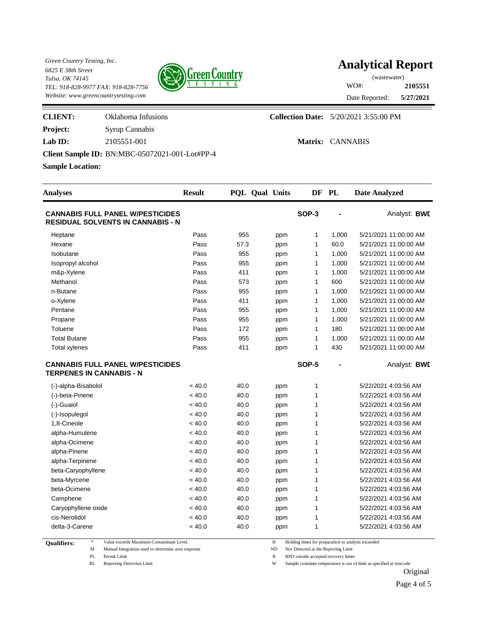

# **Analytical Report**

**5/27/2021 2105551** Date Reported: WO#: (wastewater)

Ξ

| <b>CLIENT:</b>          | Oklahoma Infusions                             | <b>Collection Date:</b> 5/20/2021 3:55:00 PM |
|-------------------------|------------------------------------------------|----------------------------------------------|
| <b>Project:</b>         | Syrup Cannabis                                 |                                              |
| Lab $ID:$               | 2105551-001                                    | Matrix: CANNABIS                             |
|                         | Client Sample ID: BN:MBC-05072021-001-Lot#PP-4 |                                              |
| <b>Sample Location:</b> |                                                |                                              |

| <b>Analyses</b>                                                                     | <b>Result</b> | PQL Qual Units |     |              | DF PL | <b>Date Analyzed</b>  |
|-------------------------------------------------------------------------------------|---------------|----------------|-----|--------------|-------|-----------------------|
| <b>CANNABIS FULL PANEL W/PESTICIDES</b><br><b>RESIDUAL SOLVENTS IN CANNABIS - N</b> |               |                |     | SOP-3        |       | Analyst: BWI          |
| Heptane                                                                             | Pass          | 955            | ppm | 1            | 1,000 | 5/21/2021 11:00:00 AM |
| Hexane                                                                              | Pass          | 57.3           | ppm | $\mathbf{1}$ | 60.0  | 5/21/2021 11:00:00 AM |
| Isobutane                                                                           | Pass          | 955            | ppm | 1            | 1,000 | 5/21/2021 11:00:00 AM |
| Isopropyl alcohol                                                                   | Pass          | 955            | ppm | 1            | 1,000 | 5/21/2021 11:00:00 AM |
| m&p-Xylene                                                                          | Pass          | 411            | ppm | 1            | 1,000 | 5/21/2021 11:00:00 AM |
| Methanol                                                                            | Pass          | 573            | ppm | $\mathbf{1}$ | 600   | 5/21/2021 11:00:00 AM |
| n-Butane                                                                            | Pass          | 955            | ppm | 1            | 1,000 | 5/21/2021 11:00:00 AM |
| o-Xylene                                                                            | Pass          | 411            | ppm | 1            | 1,000 | 5/21/2021 11:00:00 AM |
| Pentane                                                                             | Pass          | 955            | ppm | 1            | 1,000 | 5/21/2021 11:00:00 AM |
| Propane                                                                             | Pass          | 955            | ppm | $\mathbf{1}$ | 1,000 | 5/21/2021 11:00:00 AM |
| Toluene                                                                             | Pass          | 172            | ppm | $\mathbf{1}$ | 180   | 5/21/2021 11:00:00 AM |
| <b>Total Butane</b>                                                                 | Pass          | 955            | ppm | 1            | 1,000 | 5/21/2021 11:00:00 AM |
| <b>Total xylenes</b>                                                                | Pass          | 411            | ppm | 1            | 430   | 5/21/2021 11:00:00 AM |
| <b>CANNABIS FULL PANEL W/PESTICIDES</b><br><b>TERPENES IN CANNABIS - N</b>          |               |                |     | SOP-5        | L,    | Analyst: BWI          |
| (-)-alpha-Bisabolol                                                                 | < 40.0        | 40.0           | ppm | 1            |       | 5/22/2021 4:03:56 AM  |
| (-)-beta-Pinene                                                                     | < 40.0        | 40.0           | ppm | 1            |       | 5/22/2021 4:03:56 AM  |
| (-)-Guaiol                                                                          | < 40.0        | 40.0           | ppm | 1            |       | 5/22/2021 4:03:56 AM  |
| (-)-Isopulegol                                                                      | < 40.0        | 40.0           | ppm | 1            |       | 5/22/2021 4:03:56 AM  |
| 1,8-Cineole                                                                         | < 40.0        | 40.0           | ppm | 1            |       | 5/22/2021 4:03:56 AM  |
| alpha-Humulene                                                                      | < 40.0        | 40.0           | ppm | 1            |       | 5/22/2021 4:03:56 AM  |
| alpha-Ocimene                                                                       | < 40.0        | 40.0           | ppm | 1            |       | 5/22/2021 4:03:56 AM  |
| alpha-Pinene                                                                        | < 40.0        | 40.0           | ppm | 1            |       | 5/22/2021 4:03:56 AM  |
| alpha-Terpinene                                                                     | < 40.0        | 40.0           | ppm | 1            |       | 5/22/2021 4:03:56 AM  |
| beta-Caryophyllene                                                                  | < 40.0        | 40.0           | ppm | 1            |       | 5/22/2021 4:03:56 AM  |
| beta-Myrcene                                                                        | < 40.0        | 40.0           | ppm | 1            |       | 5/22/2021 4:03:56 AM  |
| beta-Ocimene                                                                        | < 40.0        | 40.0           | ppm | 1            |       | 5/22/2021 4:03:56 AM  |
| Camphene                                                                            | < 40.0        | 40.0           | ppm | 1            |       | 5/22/2021 4:03:56 AM  |
| Caryophyllene oxide                                                                 | < 40.0        | 40.0           | ppm | 1            |       | 5/22/2021 4:03:56 AM  |
| cis-Nerolidol                                                                       | < 40.0        | 40.0           | ppm | 1            |       | 5/22/2021 4:03:56 AM  |
| delta-3-Carene                                                                      | < 40.0        | 40.0           | ppm | 1            |       | 5/22/2021 4:03:56 AM  |

**Qualifiers:** 

M Manual Integration used to determine area response ND Not Detected at the Reporting Limit

\* Value exceeds Maximum Contaminant Level. H Holding times for preparation or analysis exceeded

PL Permit Limit  $R$  RPD outside accepted recovery limits

RL Reporting Detection Limit W Sample container temperature is out of limit as specified at testcode